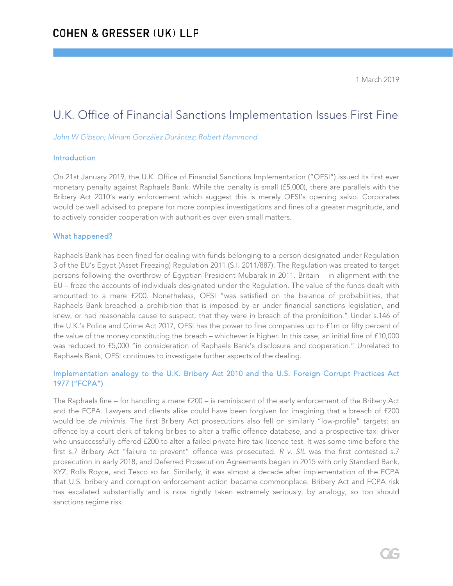1 March 2019

# U.K. Office of Financial Sanctions Implementation Issues First Fine

*John W Gibson; Miriam González Durántez; Robert Hammond*

#### Introduction

On 21st January 2019, the U.K. Office of Financial Sanctions Implementation ("OFSI") issued its first ever monetary penalty against Raphaels Bank. While the penalty is small (£5,000), there are parallels with the Bribery Act 2010's early enforcement which suggest this is merely OFSI's opening salvo. Corporates would be well advised to prepare for more complex investigations and fines of a greater magnitude, and to actively consider cooperation with authorities over even small matters.

### What happened?

Raphaels Bank has been fined for dealing with funds belonging to a person designated under Regulation 3 of the EU's Egypt (Asset-Freezing) Regulation 2011 (S.I. 2011/887). The Regulation was created to target persons following the overthrow of Egyptian President Mubarak in 2011. Britain – in alignment with the EU – froze the accounts of individuals designated under the Regulation. The value of the funds dealt with amounted to a mere £200. Nonetheless, OFSI "was satisfied on the balance of probabilities, that Raphaels Bank breached a prohibition that is imposed by or under financial sanctions legislation, and knew, or had reasonable cause to suspect, that they were in breach of the prohibition." Under s.146 of the U.K.'s Police and Crime Act 2017, OFSI has the power to fine companies up to £1m or fifty percent of the value of the money constituting the breach – whichever is higher. In this case, an initial fine of £10,000 was reduced to £5,000 "in consideration of Raphaels Bank's disclosure and cooperation." Unrelated to Raphaels Bank, OFSI continues to investigate further aspects of the dealing.

## Implementation analogy to the U.K. Bribery Act 2010 and the U.S. Foreign Corrupt Practices Act 1977 ("FCPA")

The Raphaels fine – for handling a mere £200 – is reminiscent of the early enforcement of the Bribery Act and the FCPA. Lawyers and clients alike could have been forgiven for imagining that a breach of £200 would be *de minimis*. The first Bribery Act prosecutions also fell on similarly "low-profile" targets: an offence by a court clerk of taking bribes to alter a traffic offence database, and a prospective taxi-driver who unsuccessfully offered £200 to alter a failed private hire taxi licence test. It was some time before the first s.7 Bribery Act "failure to prevent" offence was prosecuted. *R v. SIL* was the first contested s.7 prosecution in early 2018, and Deferred Prosecution Agreements began in 2015 with only Standard Bank, XYZ, Rolls Royce, and Tesco so far. Similarly, it was almost a decade after implementation of the FCPA that U.S. bribery and corruption enforcement action became commonplace. Bribery Act and FCPA risk has escalated substantially and is now rightly taken extremely seriously; by analogy, so too should sanctions regime risk.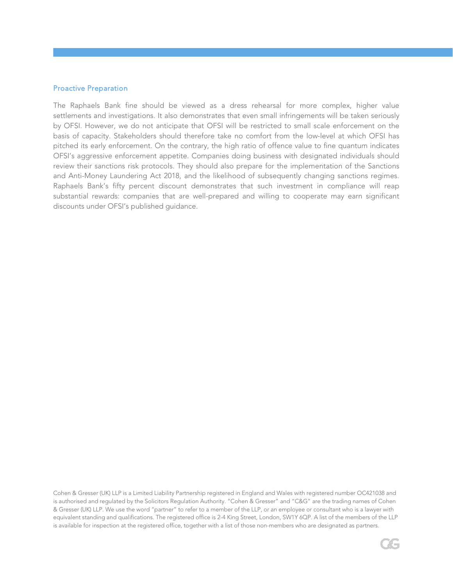### Proactive Preparation

The Raphaels Bank fine should be viewed as a dress rehearsal for more complex, higher value settlements and investigations. It also demonstrates that even small infringements will be taken seriously by OFSI. However, we do not anticipate that OFSI will be restricted to small scale enforcement on the basis of capacity. Stakeholders should therefore take no comfort from the low-level at which OFSI has pitched its early enforcement. On the contrary, the high ratio of offence value to fine quantum indicates OFSI's aggressive enforcement appetite. Companies doing business with designated individuals should review their sanctions risk protocols. They should also prepare for the implementation of the Sanctions and Anti-Money Laundering Act 2018, and the likelihood of subsequently changing sanctions regimes. Raphaels Bank's fifty percent discount demonstrates that such investment in compliance will reap substantial rewards: companies that are well-prepared and willing to cooperate may earn significant discounts under OFSI's published guidance.

Cohen & Gresser (UK) LLP is a Limited Liability Partnership registered in England and Wales with registered number OC421038 and is authorised and regulated by the Solicitors Regulation Authority. "Cohen & Gresser" and "C&G" are the trading names of Cohen & Gresser (UK) LLP. We use the word "partner" to refer to a member of the LLP, or an employee or consultant who is a lawyer with equivalent standing and qualifications. The registered office is 2-4 King Street, London, SW1Y 6QP. A list of the members of the LLP is available for inspection at the registered office, together with a list of those non-members who are designated as partners.